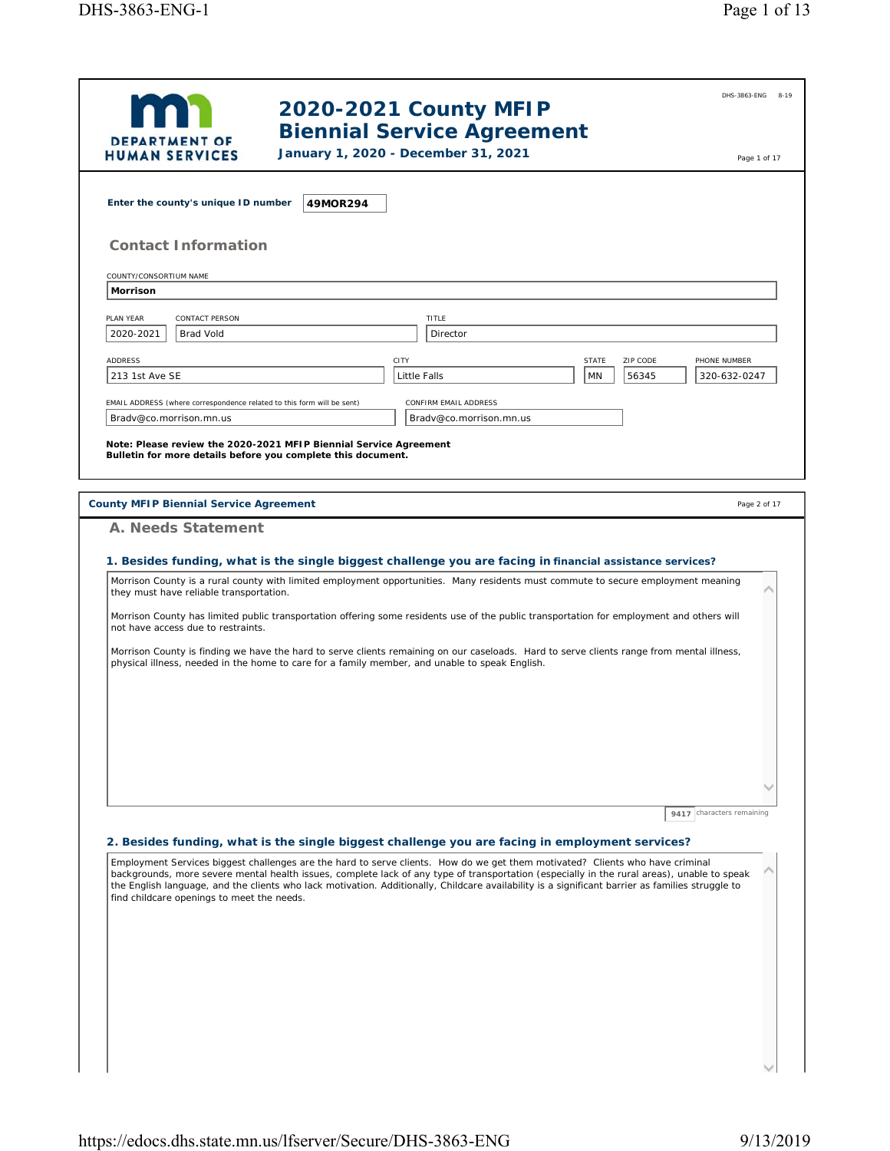|                                                                                                                                   | 2020-2021 County MFIP                                                                                                                                                                                                                                                                                                                                                                                                                                                                                                               | DHS-3863-ENG                                                            | $8 - 19$     |
|-----------------------------------------------------------------------------------------------------------------------------------|-------------------------------------------------------------------------------------------------------------------------------------------------------------------------------------------------------------------------------------------------------------------------------------------------------------------------------------------------------------------------------------------------------------------------------------------------------------------------------------------------------------------------------------|-------------------------------------------------------------------------|--------------|
| <b>DEPARTMENT OF</b><br><b>HUMAN SERVICES</b>                                                                                     | <b>Biennial Service Agreement</b><br>January 1, 2020 - December 31, 2021                                                                                                                                                                                                                                                                                                                                                                                                                                                            |                                                                         | Page 1 of 17 |
| Enter the county's unique ID number                                                                                               | 49MOR294                                                                                                                                                                                                                                                                                                                                                                                                                                                                                                                            |                                                                         |              |
| <b>Contact Information</b>                                                                                                        |                                                                                                                                                                                                                                                                                                                                                                                                                                                                                                                                     |                                                                         |              |
| COUNTY/CONSORTIUM NAME<br>Morrison                                                                                                |                                                                                                                                                                                                                                                                                                                                                                                                                                                                                                                                     |                                                                         |              |
| PLAN YEAR<br>CONTACT PERSON                                                                                                       | <b>TITLE</b>                                                                                                                                                                                                                                                                                                                                                                                                                                                                                                                        |                                                                         |              |
| 2020-2021<br><b>Brad Vold</b>                                                                                                     | Director                                                                                                                                                                                                                                                                                                                                                                                                                                                                                                                            |                                                                         |              |
|                                                                                                                                   |                                                                                                                                                                                                                                                                                                                                                                                                                                                                                                                                     |                                                                         |              |
| <b>ADDRESS</b><br>213 1st Ave SE                                                                                                  | CITY<br>Little Falls                                                                                                                                                                                                                                                                                                                                                                                                                                                                                                                | ZIP CODE<br>PHONE NUMBER<br><b>STATE</b><br>MN<br>56345<br>320-632-0247 |              |
| EMAIL ADDRESS (where correspondence related to this form will be sent)                                                            | CONFIRM EMAIL ADDRESS                                                                                                                                                                                                                                                                                                                                                                                                                                                                                                               |                                                                         |              |
| Bradv@co.morrison.mn.us                                                                                                           | Bradv@co.morrison.mn.us                                                                                                                                                                                                                                                                                                                                                                                                                                                                                                             |                                                                         |              |
| Note: Please review the 2020-2021 MFIP Biennial Service Agreement<br>Bulletin for more details before you complete this document. |                                                                                                                                                                                                                                                                                                                                                                                                                                                                                                                                     |                                                                         |              |
| <b>County MFIP Biennial Service Agreement</b>                                                                                     |                                                                                                                                                                                                                                                                                                                                                                                                                                                                                                                                     |                                                                         | Page 2 of 17 |
| they must have reliable transportation.<br>not have access due to restraints.                                                     | Morrison County is a rural county with limited employment opportunities. Many residents must commute to secure employment meaning<br>Morrison County has limited public transportation offering some residents use of the public transportation for employment and others will<br>Morrison County is finding we have the hard to serve clients remaining on our caseloads. Hard to serve clients range from mental illness,<br>physical illness, needed in the home to care for a family member, and unable to speak English.       | 9417 characters remaining                                               |              |
|                                                                                                                                   |                                                                                                                                                                                                                                                                                                                                                                                                                                                                                                                                     |                                                                         |              |
| find childcare openings to meet the needs.                                                                                        | 2. Besides funding, what is the single biggest challenge you are facing in employment services?<br>Employment Services biggest challenges are the hard to serve clients. How do we get them motivated? Clients who have criminal<br>backgrounds, more severe mental health issues, complete lack of any type of transportation (especially in the rural areas), unable to speak<br>the English language, and the clients who lack motivation. Additionally, Childcare availability is a significant barrier as families struggle to |                                                                         |              |
|                                                                                                                                   |                                                                                                                                                                                                                                                                                                                                                                                                                                                                                                                                     |                                                                         |              |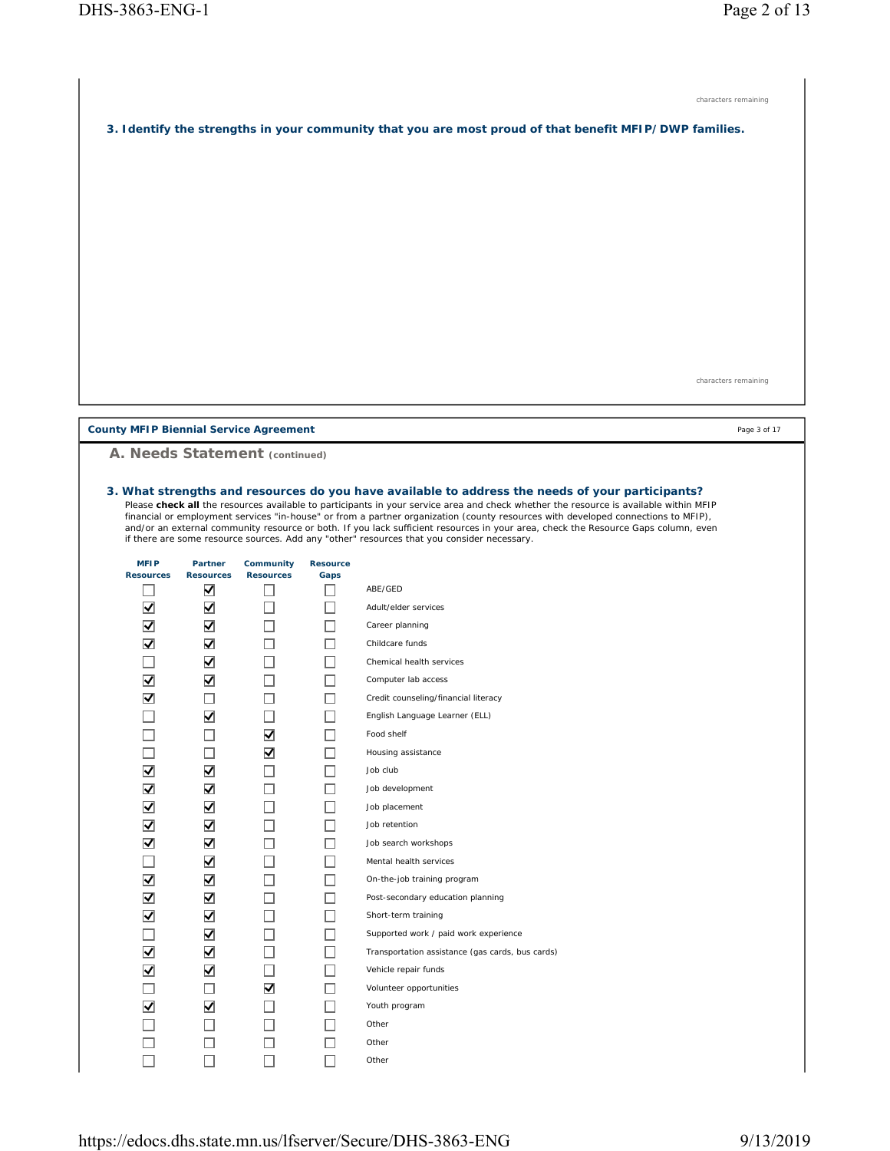|                                               |                                           |                                |                         | 3. Identify the strengths in your community that you are most proud of that benefit MFIP/DWP families.                                                                                                                                                                                                                                                                                                                                                                                                                                                                                                             | characters remaining |
|-----------------------------------------------|-------------------------------------------|--------------------------------|-------------------------|--------------------------------------------------------------------------------------------------------------------------------------------------------------------------------------------------------------------------------------------------------------------------------------------------------------------------------------------------------------------------------------------------------------------------------------------------------------------------------------------------------------------------------------------------------------------------------------------------------------------|----------------------|
|                                               |                                           |                                |                         |                                                                                                                                                                                                                                                                                                                                                                                                                                                                                                                                                                                                                    | characters remaining |
|                                               |                                           |                                |                         |                                                                                                                                                                                                                                                                                                                                                                                                                                                                                                                                                                                                                    |                      |
| <b>County MFIP Biennial Service Agreement</b> |                                           |                                |                         |                                                                                                                                                                                                                                                                                                                                                                                                                                                                                                                                                                                                                    | Page 3 of 17         |
| A. Needs Statement (continued)                |                                           |                                |                         |                                                                                                                                                                                                                                                                                                                                                                                                                                                                                                                                                                                                                    |                      |
|                                               |                                           |                                |                         | 3. What strengths and resources do you have available to address the needs of your participants?<br>Please check all the resources available to participants in your service area and check whether the resource is available within MFIP<br>financial or employment services "in-house" or from a partner organization (county resources with developed connections to MFIP),<br>and/or an external community resource or both. If you lack sufficient resources in your area, check the Resource Gaps column, even<br>if there are some resource sources. Add any "other" resources that you consider necessary. |                      |
| <b>MFIP</b><br><b>Resources</b>               | Partner<br><b>Resources</b>               | Community<br><b>Resources</b>  | Resource<br>Gaps        |                                                                                                                                                                                                                                                                                                                                                                                                                                                                                                                                                                                                                    |                      |
|                                               | ⊻                                         |                                |                         | ABE/GED                                                                                                                                                                                                                                                                                                                                                                                                                                                                                                                                                                                                            |                      |
| ☑                                             | ⊻                                         |                                |                         | Adult/elder services                                                                                                                                                                                                                                                                                                                                                                                                                                                                                                                                                                                               |                      |
| ⊽                                             | ☑                                         | $\mathbf{I}$                   |                         | Career planning                                                                                                                                                                                                                                                                                                                                                                                                                                                                                                                                                                                                    |                      |
| ☑                                             | ⊽                                         | $\vert \ \ \vert$              |                         | Childcare funds                                                                                                                                                                                                                                                                                                                                                                                                                                                                                                                                                                                                    |                      |
|                                               | ⊻                                         |                                |                         | Chemical health services                                                                                                                                                                                                                                                                                                                                                                                                                                                                                                                                                                                           |                      |
| ☑                                             | ☑                                         | $\overline{\phantom{a}}$       |                         | Computer lab access                                                                                                                                                                                                                                                                                                                                                                                                                                                                                                                                                                                                |                      |
| ☑                                             |                                           | П                              |                         | Credit counseling/financial literacy                                                                                                                                                                                                                                                                                                                                                                                                                                                                                                                                                                               |                      |
| $\Box$                                        | $\overline{\blacktriangledown}$<br>$\Box$ | $\Box$<br>$\blacktriangledown$ | $\Box$<br>П             | English Language Learner (ELL)<br>Food shelf                                                                                                                                                                                                                                                                                                                                                                                                                                                                                                                                                                       |                      |
|                                               | $\Box$                                    | $\blacktriangledown$           | LI                      | Housing assistance                                                                                                                                                                                                                                                                                                                                                                                                                                                                                                                                                                                                 |                      |
| $\blacktriangledown$                          | $\blacktriangledown$                      | ⊔                              |                         | Job club                                                                                                                                                                                                                                                                                                                                                                                                                                                                                                                                                                                                           |                      |
| $\blacktriangledown$                          | $\blacktriangledown$                      | ⊔                              | $\mathsf{L}$            | Job development                                                                                                                                                                                                                                                                                                                                                                                                                                                                                                                                                                                                    |                      |
| $\blacktriangledown$                          | ✔                                         | Ш                              | Ш                       | Job placement                                                                                                                                                                                                                                                                                                                                                                                                                                                                                                                                                                                                      |                      |
| ☑                                             | ✔                                         | $\mathsf{L}$                   | $\mathsf{L}$            | Job retention                                                                                                                                                                                                                                                                                                                                                                                                                                                                                                                                                                                                      |                      |
| ⊻                                             | ☑                                         | ⊔                              | $\mathsf{L}$            | Job search workshops                                                                                                                                                                                                                                                                                                                                                                                                                                                                                                                                                                                               |                      |
|                                               | ☑                                         | Ш                              | $\mathsf{L}$            | Mental health services<br>On-the-job training program                                                                                                                                                                                                                                                                                                                                                                                                                                                                                                                                                              |                      |
| ☑<br>⊻                                        | ✔<br>✔                                    | $\mathsf{L}$<br>⊔              | $\mathsf{L}$<br>$\perp$ | Post-secondary education planning                                                                                                                                                                                                                                                                                                                                                                                                                                                                                                                                                                                  |                      |
| $\blacktriangledown$                          | ✔                                         | Ш                              | Ш                       | Short-term training                                                                                                                                                                                                                                                                                                                                                                                                                                                                                                                                                                                                |                      |
| $\overline{\phantom{a}}$                      | ✔                                         | ⊔                              | $\mathsf{L}$            | Supported work / paid work experience                                                                                                                                                                                                                                                                                                                                                                                                                                                                                                                                                                              |                      |
| $\blacktriangledown$                          | ☑                                         | □                              | $\mathsf{L}$            | Transportation assistance (gas cards, bus cards)                                                                                                                                                                                                                                                                                                                                                                                                                                                                                                                                                                   |                      |
| ☑                                             | ✔                                         | □                              | $\mathsf{L}$            | Vehicle repair funds                                                                                                                                                                                                                                                                                                                                                                                                                                                                                                                                                                                               |                      |
|                                               | $\Box$                                    | $\blacktriangledown$           | $\Box$                  | Volunteer opportunities                                                                                                                                                                                                                                                                                                                                                                                                                                                                                                                                                                                            |                      |
| $\overline{\blacktriangledown}$               | ☑                                         | ⊔                              |                         | Youth program                                                                                                                                                                                                                                                                                                                                                                                                                                                                                                                                                                                                      |                      |
|                                               | $\mathcal{L}$<br>$\Box$                   | Ш<br>⊔                         | $\mathsf{L}$<br>U       | Other<br>Other                                                                                                                                                                                                                                                                                                                                                                                                                                                                                                                                                                                                     |                      |
| $\Box$                                        | $\Box$                                    | $\Box$                         | $\mathsf{L}$            | Other                                                                                                                                                                                                                                                                                                                                                                                                                                                                                                                                                                                                              |                      |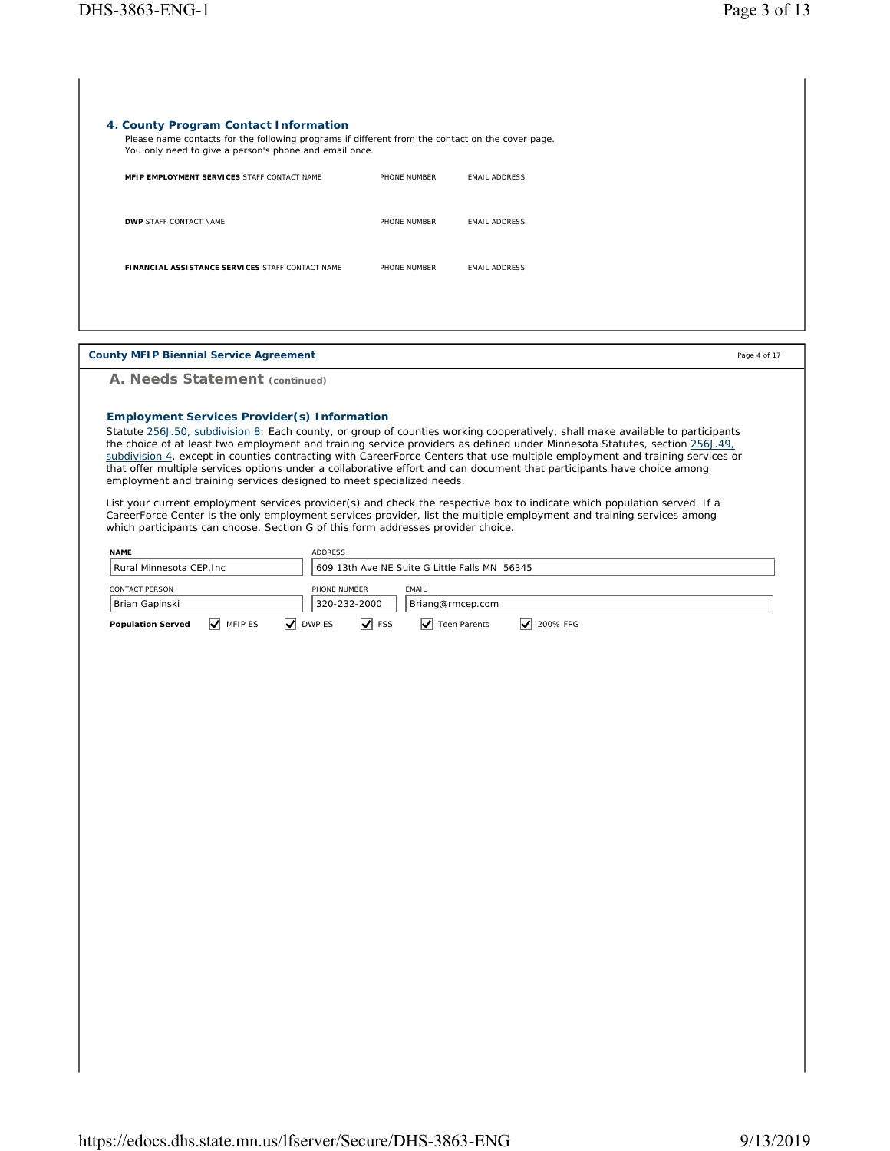| 4. County Program Contact Information<br>Please name contacts for the following programs if different from the contact on the cover page.<br>You only need to give a person's phone and email once. |              |                      |              |
|-----------------------------------------------------------------------------------------------------------------------------------------------------------------------------------------------------|--------------|----------------------|--------------|
| MFIP EMPLOYMENT SERVICES STAFF CONTACT NAME                                                                                                                                                         | PHONE NUMBER | <b>EMAIL ADDRESS</b> |              |
| <b>DWP STAFF CONTACT NAME</b>                                                                                                                                                                       | PHONE NUMBER | <b>EMAIL ADDRESS</b> |              |
| FINANCIAL ASSISTANCE SERVICES STAFF CONTACT NAME                                                                                                                                                    | PHONE NUMBER | <b>EMAIL ADDRESS</b> |              |
|                                                                                                                                                                                                     |              |                      |              |
|                                                                                                                                                                                                     |              |                      |              |
| <b>County MFIP Biennial Service Agreement</b>                                                                                                                                                       |              |                      | Page 4 of 17 |
| A. Needs Statement (continued)                                                                                                                                                                      |              |                      |              |

## **Employment Services Provider(s) Information**

Statute 256J.50, subdivision 8: Each county, or group of counties working cooperatively, shall make available to participants the choice of at least two employment and training service providers as defined under Minnesota Statutes, section 256J.49, subdivision 4, except in counties contracting with CareerForce Centers that use multiple employment and training services or that offer multiple services options under a collaborative effort and can document that participants have choice among employment and training services designed to meet specialized needs.

List your current employment services provider(s) and check the respective box to indicate which population served. If a CareerForce Center is the only employment services provider, list the multiple employment and training services among which participants can choose. Section G of this form addresses provider choice.

| <b>NAME</b>                           | <b>ADDRESS</b>                                                                                    |  |  |  |  |
|---------------------------------------|---------------------------------------------------------------------------------------------------|--|--|--|--|
| l Rural Minnesota CEP. Inc            | 609 13th Ave NE Suite G Little Falls MN 56345                                                     |  |  |  |  |
| <b>CONTACT PERSON</b>                 | PHONE NUMBER<br>EMAIL                                                                             |  |  |  |  |
| Brian Gapinski                        | 320-232-2000<br>Briang@rmcep.com                                                                  |  |  |  |  |
| M MFIP ES<br><b>Population Served</b> | $\sqrt{5}$ FSS<br>$\bigvee$ DWP ES<br>$\blacktriangleright$ Teen Parents<br>$\frac{1}{200\%}$ FPG |  |  |  |  |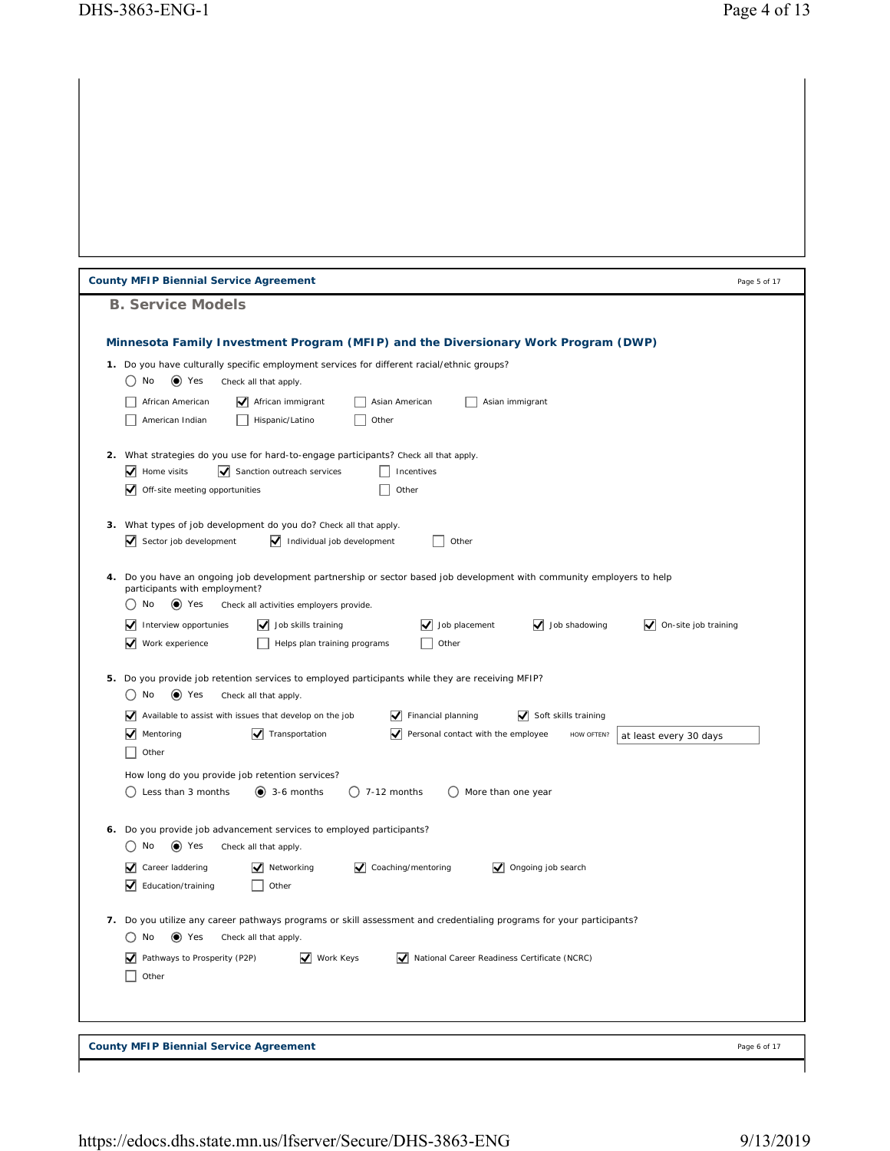| <b>County MFIP Biennial Service Agreement</b>                                                                                                                                                                                                                                 | Page 5 of 17           |
|-------------------------------------------------------------------------------------------------------------------------------------------------------------------------------------------------------------------------------------------------------------------------------|------------------------|
| <b>B. Service Models</b>                                                                                                                                                                                                                                                      |                        |
| Minnesota Family Investment Program (MFIP) and the Diversionary Work Program (DWP)                                                                                                                                                                                            |                        |
| 1. Do you have culturally specific employment services for different racial/ethnic groups?<br>$\odot$ Yes<br>( ) No<br>Check all that apply.                                                                                                                                  |                        |
| African American<br>African immigrant<br>Asian American<br>Asian immigrant<br>American Indian<br>Hispanic/Latino<br>Other                                                                                                                                                     |                        |
| 2. What strategies do you use for hard-to-engage participants? Check all that apply.<br>$\blacktriangleright$ Home visits<br>Sanction outreach services<br>Incentives<br>√ Off-site meeting opportunities<br>Other                                                            |                        |
| 3. What types of job development do you do? Check all that apply.<br>Individual job development<br>Sector job development<br>Other                                                                                                                                            |                        |
| 4. Do you have an ongoing job development partnership or sector based job development with community employers to help<br>participants with employment?<br>$\left( \bullet \right)$ Yes<br>( ) No<br>Check all activities employers provide.                                  |                        |
| Interview opportunies<br>Job placement<br>$\bigvee$ Job shadowing<br>M<br>Job skills training<br>V<br>Work experience<br>Other<br>Helps plan training programs                                                                                                                | V On-site job training |
| 5. Do you provide job retention services to employed participants while they are receiving MFIP?<br>$\odot$ Yes<br>( ) No<br>Check all that apply.                                                                                                                            |                        |
| Available to assist with issues that develop on the job<br>$\blacktriangleright$ Soft skills training<br>√ Financial planning<br>M<br>$\sqrt{\phantom{a}}$ Transportation<br>$\sqrt{\phantom{a}}$ Personal contact with the employee<br>M<br>Mentoring<br>HOW OFTEN?<br>Other | at least every 30 days |
| How long do you provide job retention services?<br>Less than 3 months<br>$\odot$ 3-6 months<br>$()$ 7-12 months<br>() More than one year                                                                                                                                      |                        |
| 6. Do you provide job advancement services to employed participants?<br>$\bigcap$ No<br>$\odot$ Yes<br>Check all that apply.                                                                                                                                                  |                        |
| ✓<br>Career laddering<br>Networking<br>√ Coaching/mentoring<br>Ongoing job search<br>M<br>Education/training<br>Other                                                                                                                                                         |                        |
| 7. Do you utilize any career pathways programs or skill assessment and credentialing programs for your participants?<br>$\odot$ Yes<br>$()$ No<br>Check all that apply.                                                                                                       |                        |
| Work Keys<br>National Career Readiness Certificate (NCRC)<br>Pathways to Prosperity (P2P)<br>Other                                                                                                                                                                            |                        |
| <b>County MFIP Biennial Service Agreement</b>                                                                                                                                                                                                                                 | Page 6 of 17           |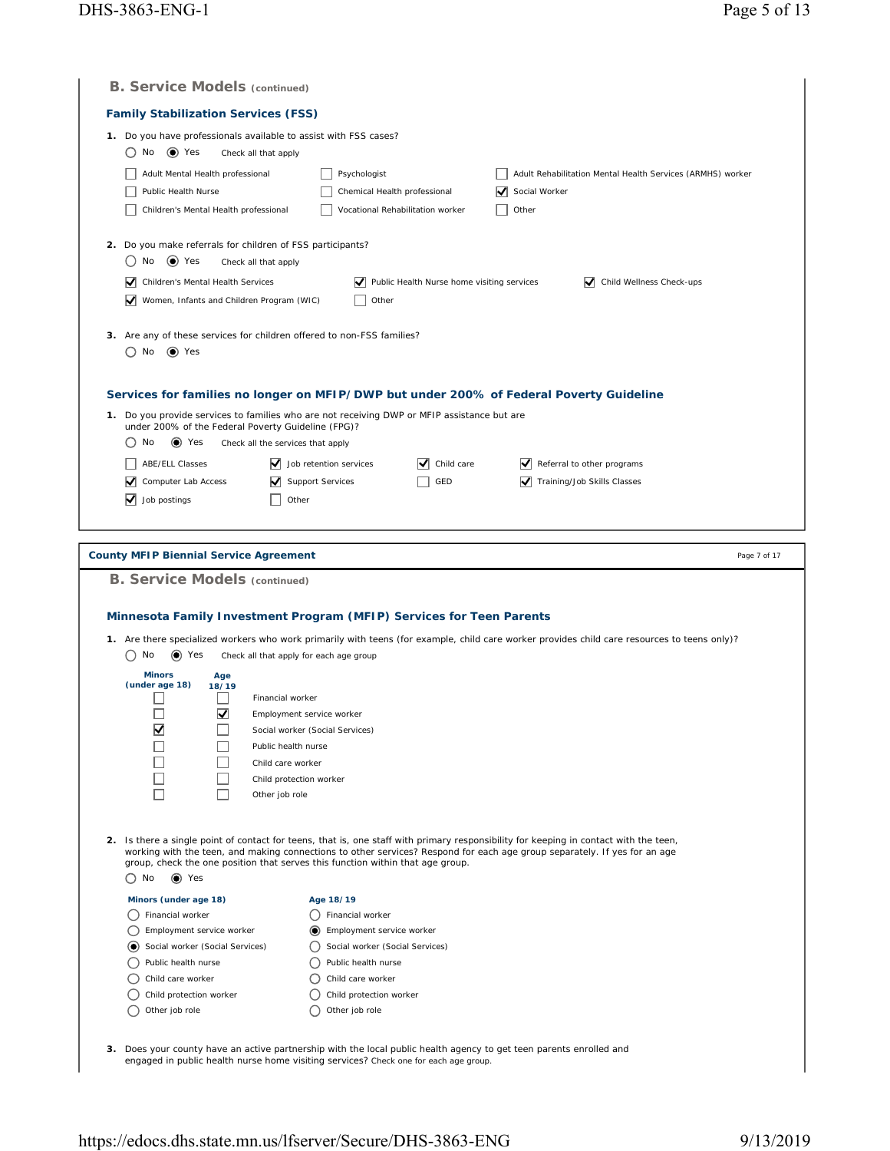|                                                                                                                                                                                                                                                                     | <b>B. Service Models (continued)</b>                             |                                              |                                                                                                                                              |              |  |  |  |
|---------------------------------------------------------------------------------------------------------------------------------------------------------------------------------------------------------------------------------------------------------------------|------------------------------------------------------------------|----------------------------------------------|----------------------------------------------------------------------------------------------------------------------------------------------|--------------|--|--|--|
|                                                                                                                                                                                                                                                                     | <b>Family Stabilization Services (FSS)</b>                       |                                              |                                                                                                                                              |              |  |  |  |
| 1. Do you have professionals available to assist with FSS cases?<br>No<br>(O) Yes<br>()<br>Check all that apply<br>Adult Mental Health professional                                                                                                                 | Psychologist                                                     |                                              | Adult Rehabilitation Mental Health Services (ARMHS) worker                                                                                   |              |  |  |  |
| Public Health Nurse<br>Children's Mental Health professional                                                                                                                                                                                                        | Chemical Health professional<br>Vocational Rehabilitation worker |                                              | Social Worker<br>⋈<br>Other                                                                                                                  |              |  |  |  |
| 2. Do you make referrals for children of FSS participants?<br>$()$ No<br>$\odot$ Yes<br>Check all that apply                                                                                                                                                        |                                                                  |                                              |                                                                                                                                              |              |  |  |  |
| ⊻<br>Children's Mental Health Services<br>Women, Infants and Children Program (WIC)<br>M                                                                                                                                                                            | Other                                                            | V Public Health Nurse home visiting services | Child Wellness Check-ups                                                                                                                     |              |  |  |  |
| 3. Are any of these services for children offered to non-FSS families?<br>$\bigcirc$ No $\bigcirc$ Yes                                                                                                                                                              |                                                                  |                                              |                                                                                                                                              |              |  |  |  |
| Services for families no longer on MFIP/DWP but under 200% of Federal Poverty Guideline<br>1. Do you provide services to families who are not receiving DWP or MFIP assistance but are<br>under 200% of the Federal Poverty Guideline (FPG)?<br>$\odot$ Yes<br>○ No |                                                                  |                                              |                                                                                                                                              |              |  |  |  |
| Check all the services that apply<br>ABE/ELL Classes<br>⋁                                                                                                                                                                                                           | Job retention services                                           | Child care                                   | Referral to other programs                                                                                                                   |              |  |  |  |
| Computer Lab Access<br>M<br>⋁                                                                                                                                                                                                                                       | Support Services                                                 | GED                                          | Training/Job Skills Classes                                                                                                                  |              |  |  |  |
| M<br>Job postings                                                                                                                                                                                                                                                   | Other                                                            |                                              |                                                                                                                                              |              |  |  |  |
| <b>County MFIP Biennial Service Agreement</b>                                                                                                                                                                                                                       |                                                                  |                                              |                                                                                                                                              | Page 7 of 17 |  |  |  |
| <b>B. Service Models (continued)</b>                                                                                                                                                                                                                                |                                                                  |                                              |                                                                                                                                              |              |  |  |  |
| Minnesota Family Investment Program (MFIP) Services for Teen Parents                                                                                                                                                                                                |                                                                  |                                              |                                                                                                                                              |              |  |  |  |
|                                                                                                                                                                                                                                                                     |                                                                  |                                              |                                                                                                                                              |              |  |  |  |
| $()$ No<br>$\left( \bullet \right)$ Yes                                                                                                                                                                                                                             | Check all that apply for each age group                          |                                              | 1. Are there specialized workers who work primarily with teens (for example, child care worker provides child care resources to teens only)? |              |  |  |  |
| <b>Minors</b><br>Age                                                                                                                                                                                                                                                |                                                                  |                                              |                                                                                                                                              |              |  |  |  |
| (under age 18)<br>18/19<br>Financial worker                                                                                                                                                                                                                         |                                                                  |                                              |                                                                                                                                              |              |  |  |  |
| ⊻                                                                                                                                                                                                                                                                   | Employment service worker                                        |                                              |                                                                                                                                              |              |  |  |  |
| ☑                                                                                                                                                                                                                                                                   | Social worker (Social Services)                                  |                                              |                                                                                                                                              |              |  |  |  |
| Public health nurse                                                                                                                                                                                                                                                 |                                                                  |                                              |                                                                                                                                              |              |  |  |  |
| Child care worker                                                                                                                                                                                                                                                   |                                                                  |                                              |                                                                                                                                              |              |  |  |  |
|                                                                                                                                                                                                                                                                     | Child protection worker                                          |                                              |                                                                                                                                              |              |  |  |  |
| Other job role                                                                                                                                                                                                                                                      |                                                                  |                                              |                                                                                                                                              |              |  |  |  |
| 2. Is there a single point of contact for teens, that is, one staff with primary responsibility for keeping in contact with the teen,<br>group, check the one position that serves this function within that age group.<br>$()$ No<br>$\odot$ Yes                   |                                                                  |                                              | working with the teen, and making connections to other services? Respond for each age group separately. If yes for an age                    |              |  |  |  |
| Minors (under age 18)                                                                                                                                                                                                                                               | Age 18/19                                                        |                                              |                                                                                                                                              |              |  |  |  |
| () Financial worker                                                                                                                                                                                                                                                 | () Financial worker                                              |                                              |                                                                                                                                              |              |  |  |  |
| Employment service worker                                                                                                                                                                                                                                           | ● Employment service worker                                      |                                              |                                                                                                                                              |              |  |  |  |
| Social worker (Social Services)                                                                                                                                                                                                                                     | Social worker (Social Services)                                  |                                              |                                                                                                                                              |              |  |  |  |
| Public health nurse                                                                                                                                                                                                                                                 | Public health nurse                                              |                                              |                                                                                                                                              |              |  |  |  |
| ◯ Child care worker                                                                                                                                                                                                                                                 | Child care worker<br>()                                          |                                              |                                                                                                                                              |              |  |  |  |
| Child protection worker                                                                                                                                                                                                                                             | Child protection worker                                          |                                              |                                                                                                                                              |              |  |  |  |
| Other job role                                                                                                                                                                                                                                                      | Other job role                                                   |                                              |                                                                                                                                              |              |  |  |  |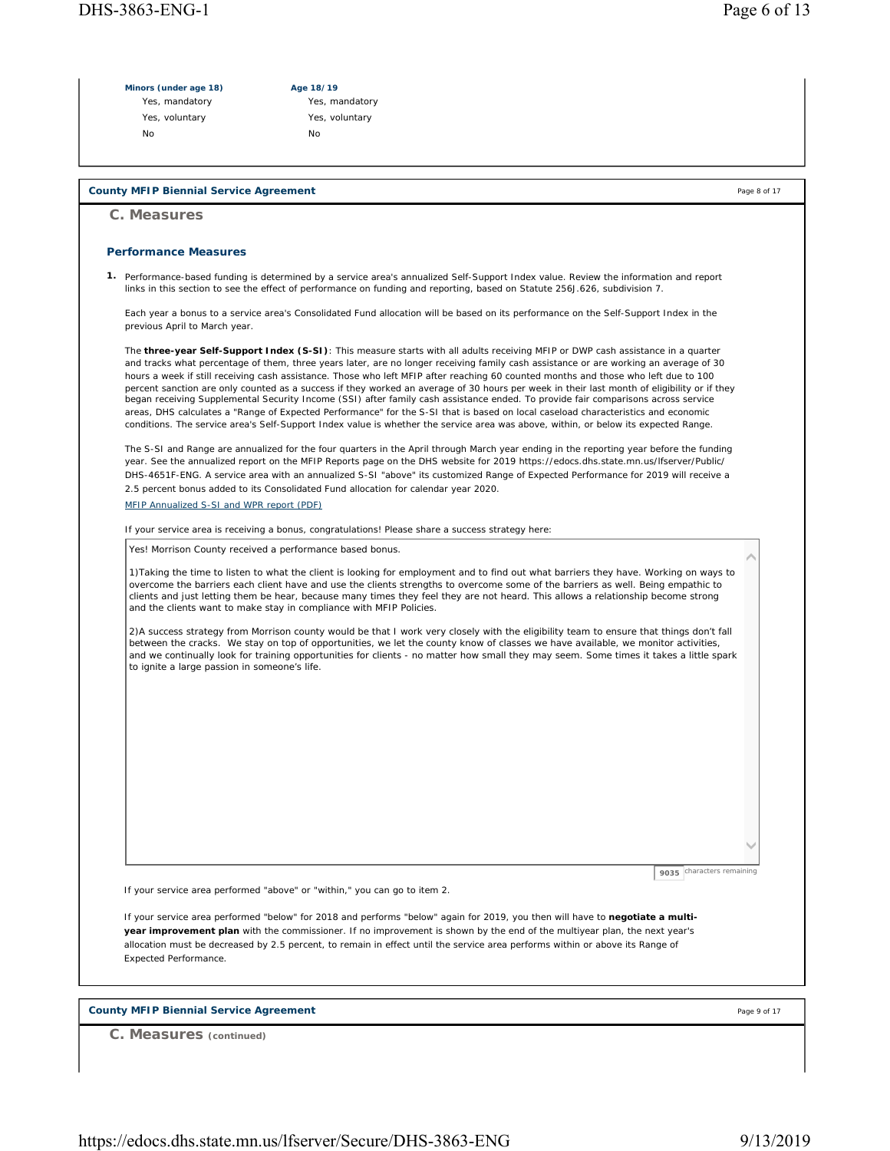| Minors (under age 18)                         | Age 18/19                                                                                                                                                                                                                                                                                                                                                                                                                                                                                                                                                                                                                                                                                                                                                                                                                                                                                                                                                                        |              |
|-----------------------------------------------|----------------------------------------------------------------------------------------------------------------------------------------------------------------------------------------------------------------------------------------------------------------------------------------------------------------------------------------------------------------------------------------------------------------------------------------------------------------------------------------------------------------------------------------------------------------------------------------------------------------------------------------------------------------------------------------------------------------------------------------------------------------------------------------------------------------------------------------------------------------------------------------------------------------------------------------------------------------------------------|--------------|
| Yes, mandatory                                | Yes, mandatory                                                                                                                                                                                                                                                                                                                                                                                                                                                                                                                                                                                                                                                                                                                                                                                                                                                                                                                                                                   |              |
| Yes, voluntary                                | Yes, voluntary                                                                                                                                                                                                                                                                                                                                                                                                                                                                                                                                                                                                                                                                                                                                                                                                                                                                                                                                                                   |              |
| <b>No</b>                                     | <b>No</b>                                                                                                                                                                                                                                                                                                                                                                                                                                                                                                                                                                                                                                                                                                                                                                                                                                                                                                                                                                        |              |
|                                               |                                                                                                                                                                                                                                                                                                                                                                                                                                                                                                                                                                                                                                                                                                                                                                                                                                                                                                                                                                                  |              |
| <b>County MFIP Biennial Service Agreement</b> |                                                                                                                                                                                                                                                                                                                                                                                                                                                                                                                                                                                                                                                                                                                                                                                                                                                                                                                                                                                  | Page 8 of 17 |
| C. Measures                                   |                                                                                                                                                                                                                                                                                                                                                                                                                                                                                                                                                                                                                                                                                                                                                                                                                                                                                                                                                                                  |              |
| <b>Performance Measures</b>                   |                                                                                                                                                                                                                                                                                                                                                                                                                                                                                                                                                                                                                                                                                                                                                                                                                                                                                                                                                                                  |              |
|                                               | 1. Performance-based funding is determined by a service area's annualized Self-Support Index value. Review the information and report<br>links in this section to see the effect of performance on funding and reporting, based on Statute 256J.626, subdivision 7.                                                                                                                                                                                                                                                                                                                                                                                                                                                                                                                                                                                                                                                                                                              |              |
| previous April to March year.                 | Each year a bonus to a service area's Consolidated Fund allocation will be based on its performance on the Self-Support Index in the                                                                                                                                                                                                                                                                                                                                                                                                                                                                                                                                                                                                                                                                                                                                                                                                                                             |              |
|                                               | The three-year Self-Support Index (S-SI): This measure starts with all adults receiving MFIP or DWP cash assistance in a quarter<br>and tracks what percentage of them, three years later, are no longer receiving family cash assistance or are working an average of 30<br>hours a week if still receiving cash assistance. Those who left MFIP after reaching 60 counted months and those who left due to 100<br>percent sanction are only counted as a success if they worked an average of 30 hours per week in their last month of eligibility or if they<br>began receiving Supplemental Security Income (SSI) after family cash assistance ended. To provide fair comparisons across service<br>areas, DHS calculates a "Range of Expected Performance" for the S-SI that is based on local caseload characteristics and economic<br>conditions. The service area's Self-Support Index value is whether the service area was above, within, or below its expected Range. |              |
| MFIP Annualized S-SI and WPR report (PDF)     | The S-SI and Range are annualized for the four quarters in the April through March year ending in the reporting year before the funding<br>year. See the annualized report on the MFIP Reports page on the DHS website for 2019 https://edocs.dhs.state.mn.us/lfserver/Public/<br>DHS-4651F-ENG. A service area with an annualized S-SI "above" its customized Range of Expected Performance for 2019 will receive a<br>2.5 percent bonus added to its Consolidated Fund allocation for calendar year 2020.                                                                                                                                                                                                                                                                                                                                                                                                                                                                      |              |
|                                               | If your service area is receiving a bonus, congratulations! Please share a success strategy here:                                                                                                                                                                                                                                                                                                                                                                                                                                                                                                                                                                                                                                                                                                                                                                                                                                                                                |              |
|                                               | Yes! Morrison County received a performance based bonus.                                                                                                                                                                                                                                                                                                                                                                                                                                                                                                                                                                                                                                                                                                                                                                                                                                                                                                                         |              |
|                                               | 1) Taking the time to listen to what the client is looking for employment and to find out what barriers they have. Working on ways to<br>overcome the barriers each client have and use the clients strengths to overcome some of the barriers as well. Being empathic to<br>clients and just letting them be hear, because many times they feel they are not heard. This allows a relationship become strong<br>and the clients want to make stay in compliance with MFIP Policies.                                                                                                                                                                                                                                                                                                                                                                                                                                                                                             |              |
| to ignite a large passion in someone's life.  | 2) A success strategy from Morrison county would be that I work very closely with the eligibility team to ensure that things don't fall<br>between the cracks. We stay on top of opportunities, we let the county know of classes we have available, we monitor activities,<br>and we continually look for training opportunities for clients - no matter how small they may seem. Some times it takes a little spark                                                                                                                                                                                                                                                                                                                                                                                                                                                                                                                                                            |              |
|                                               |                                                                                                                                                                                                                                                                                                                                                                                                                                                                                                                                                                                                                                                                                                                                                                                                                                                                                                                                                                                  |              |
|                                               |                                                                                                                                                                                                                                                                                                                                                                                                                                                                                                                                                                                                                                                                                                                                                                                                                                                                                                                                                                                  |              |
|                                               |                                                                                                                                                                                                                                                                                                                                                                                                                                                                                                                                                                                                                                                                                                                                                                                                                                                                                                                                                                                  |              |
|                                               |                                                                                                                                                                                                                                                                                                                                                                                                                                                                                                                                                                                                                                                                                                                                                                                                                                                                                                                                                                                  |              |
|                                               | 9035 characters remaining<br>If your service area performed "above" or "within," you can go to item 2.                                                                                                                                                                                                                                                                                                                                                                                                                                                                                                                                                                                                                                                                                                                                                                                                                                                                           |              |
|                                               | If your service area performed "below" for 2018 and performs "below" again for 2019, you then will have to negotiate a multi-<br>year improvement plan with the commissioner. If no improvement is shown by the end of the multiyear plan, the next year's                                                                                                                                                                                                                                                                                                                                                                                                                                                                                                                                                                                                                                                                                                                       |              |

Page 9 of 17

**C. Measures (continued)**

**County MFIP Biennial Service Agreement**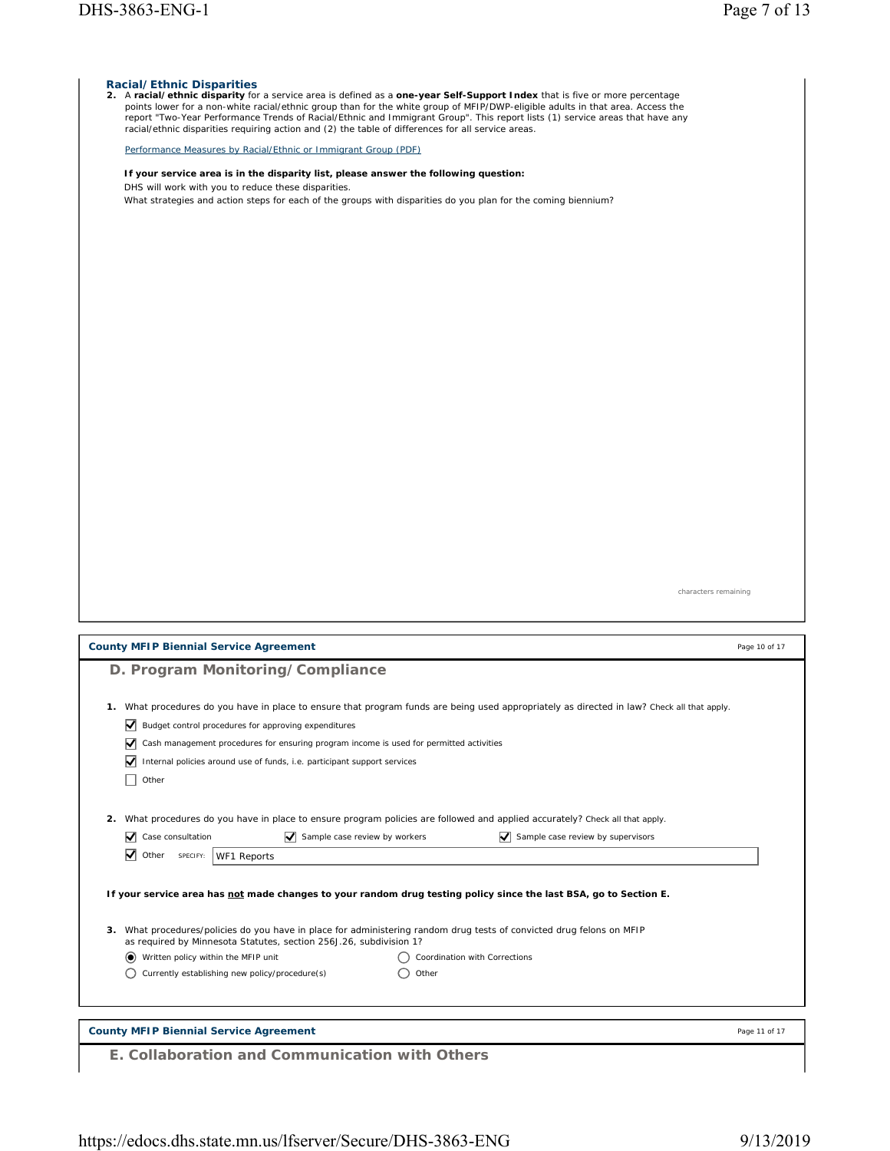### **Racial/Ethnic Disparities**

2. A racial/ethnic disparity for a service area is defined as a one-year Self-Support Index that is five or more percentage<br>points lower for a non-white racial/ethnic group than for the white group of MFIP/DWP-eligible adu report "Two-Year Performance Trends of Racial/Ethnic and Immigrant Group". This report lists (1) service areas that have any<br>racial/ethnic disparities requiring action and (2) the table of differences for all service areas

Performance Measures by Racial/Ethnic or Immigrant Group (PDF)

#### **If your service area is in the disparity list, please answer the following question:**

DHS will work with you to reduce these disparities.

What strategies and action steps for each of the groups with disparities do you plan for the coming biennium?

characters remaining

|    | <b>County MFIP Biennial Service Agreement</b>                                                                                                                                                         | Page 10 of 17 |
|----|-------------------------------------------------------------------------------------------------------------------------------------------------------------------------------------------------------|---------------|
|    | D. Program Monitoring/Compliance                                                                                                                                                                      |               |
| 1. | What procedures do you have in place to ensure that program funds are being used appropriately as directed in law? Check all that apply.<br>☑<br>Budget control procedures for approving expenditures |               |
|    | V<br>Cash management procedures for ensuring program income is used for permitted activities                                                                                                          |               |
|    | ✓<br>Internal policies around use of funds, i.e. participant support services                                                                                                                         |               |
|    | Other                                                                                                                                                                                                 |               |
|    |                                                                                                                                                                                                       |               |
| 2. | What procedures do you have in place to ensure program policies are followed and applied accurately? Check all that apply.                                                                            |               |
|    | ☑<br>Case consultation<br>$\sqrt{\phantom{a}}$ Sample case review by workers<br>$\blacktriangleright$ Sample case review by supervisors                                                               |               |
|    | $\sqrt{\phantom{a}}$ Other<br>SPECIFY:<br>WF1 Reports                                                                                                                                                 |               |
|    |                                                                                                                                                                                                       |               |
|    | If your service area has not made changes to your random drug testing policy since the last BSA, go to Section E.                                                                                     |               |
|    |                                                                                                                                                                                                       |               |
| 3. | What procedures/policies do you have in place for administering random drug tests of convicted drug felons on MFIP                                                                                    |               |
|    | as required by Minnesota Statutes, section 256J.26, subdivision 1?<br>Written policy within the MFIP unit<br>Coordination with Corrections<br>(                                                       |               |
|    | Currently establishing new policy/procedure(s)<br>Other                                                                                                                                               |               |
|    |                                                                                                                                                                                                       |               |
|    |                                                                                                                                                                                                       |               |
|    |                                                                                                                                                                                                       |               |
|    | <b>County MFIP Biennial Service Agreement</b>                                                                                                                                                         | Page 11 of 17 |
|    | E. Collaboration and Communication with Others                                                                                                                                                        |               |
|    |                                                                                                                                                                                                       |               |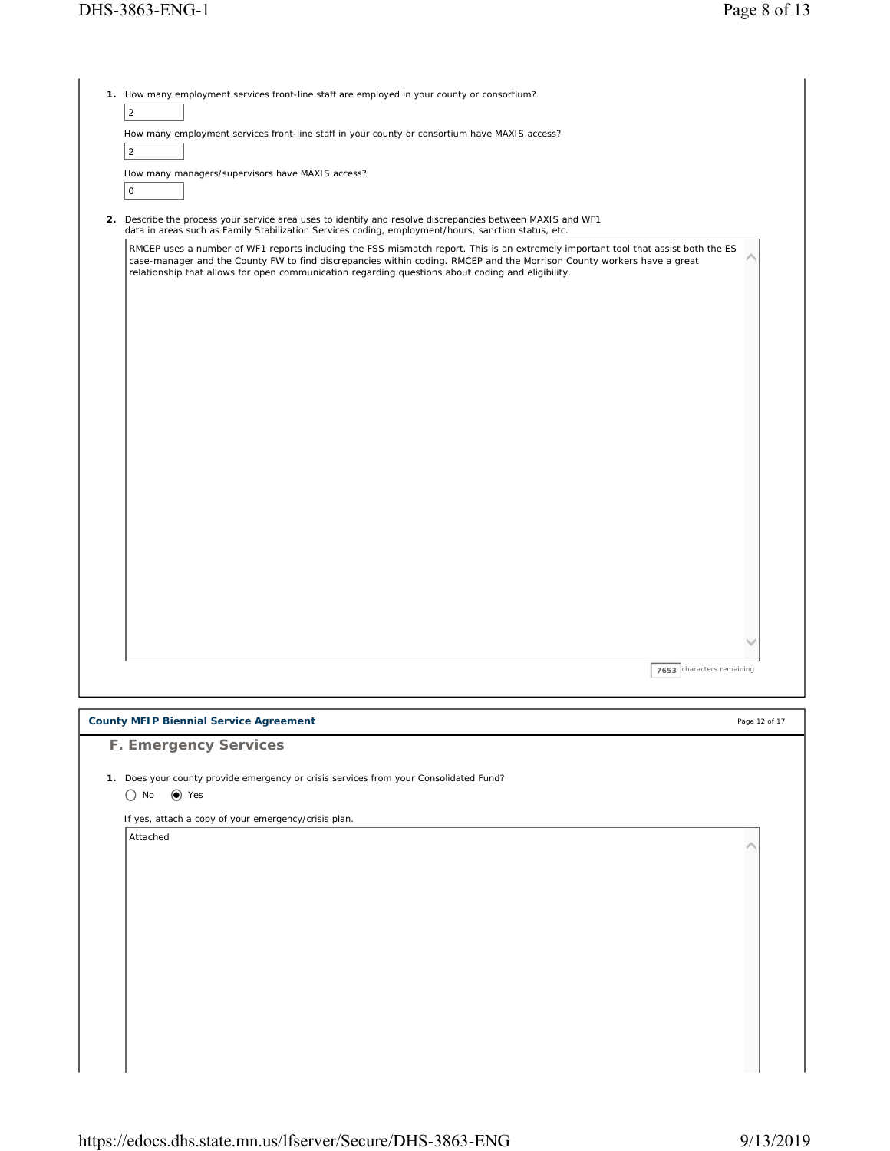| $\sqrt{2}$<br>How many employment services front-line staff in your county or consortium have MAXIS access?                                                                                                                                                                                                                                                      |                           |
|------------------------------------------------------------------------------------------------------------------------------------------------------------------------------------------------------------------------------------------------------------------------------------------------------------------------------------------------------------------|---------------------------|
| $\overline{2}$                                                                                                                                                                                                                                                                                                                                                   |                           |
| How many managers/supervisors have MAXIS access?                                                                                                                                                                                                                                                                                                                 |                           |
| $\mathsf O$                                                                                                                                                                                                                                                                                                                                                      |                           |
| 2. Describe the process your service area uses to identify and resolve discrepancies between MAXIS and WF1<br>data in areas such as Family Stabilization Services coding, employment/hours, sanction status, etc.                                                                                                                                                |                           |
| RMCEP uses a number of WF1 reports including the FSS mismatch report. This is an extremely important tool that assist both the ES<br>case-manager and the County FW to find discrepancies within coding. RMCEP and the Morrison County workers have a great<br>relationship that allows for open communication regarding questions about coding and eligibility. |                           |
|                                                                                                                                                                                                                                                                                                                                                                  |                           |
|                                                                                                                                                                                                                                                                                                                                                                  |                           |
|                                                                                                                                                                                                                                                                                                                                                                  |                           |
|                                                                                                                                                                                                                                                                                                                                                                  |                           |
|                                                                                                                                                                                                                                                                                                                                                                  |                           |
|                                                                                                                                                                                                                                                                                                                                                                  |                           |
|                                                                                                                                                                                                                                                                                                                                                                  |                           |
|                                                                                                                                                                                                                                                                                                                                                                  |                           |
|                                                                                                                                                                                                                                                                                                                                                                  |                           |
|                                                                                                                                                                                                                                                                                                                                                                  |                           |
|                                                                                                                                                                                                                                                                                                                                                                  |                           |
|                                                                                                                                                                                                                                                                                                                                                                  |                           |
|                                                                                                                                                                                                                                                                                                                                                                  |                           |
|                                                                                                                                                                                                                                                                                                                                                                  | 7653 characters remaining |
|                                                                                                                                                                                                                                                                                                                                                                  |                           |
| <b>County MFIP Biennial Service Agreement</b><br>F. Emergency Services                                                                                                                                                                                                                                                                                           | Page 12 of 17             |
|                                                                                                                                                                                                                                                                                                                                                                  |                           |
| 1. Does your county provide emergency or crisis services from your Consolidated Fund?<br>$\odot$ Yes<br>$()$ No                                                                                                                                                                                                                                                  |                           |
| If yes, attach a copy of your emergency/crisis plan.                                                                                                                                                                                                                                                                                                             |                           |
| Attached                                                                                                                                                                                                                                                                                                                                                         |                           |
|                                                                                                                                                                                                                                                                                                                                                                  |                           |
|                                                                                                                                                                                                                                                                                                                                                                  |                           |
|                                                                                                                                                                                                                                                                                                                                                                  |                           |
|                                                                                                                                                                                                                                                                                                                                                                  |                           |
|                                                                                                                                                                                                                                                                                                                                                                  |                           |
|                                                                                                                                                                                                                                                                                                                                                                  |                           |
|                                                                                                                                                                                                                                                                                                                                                                  |                           |
|                                                                                                                                                                                                                                                                                                                                                                  |                           |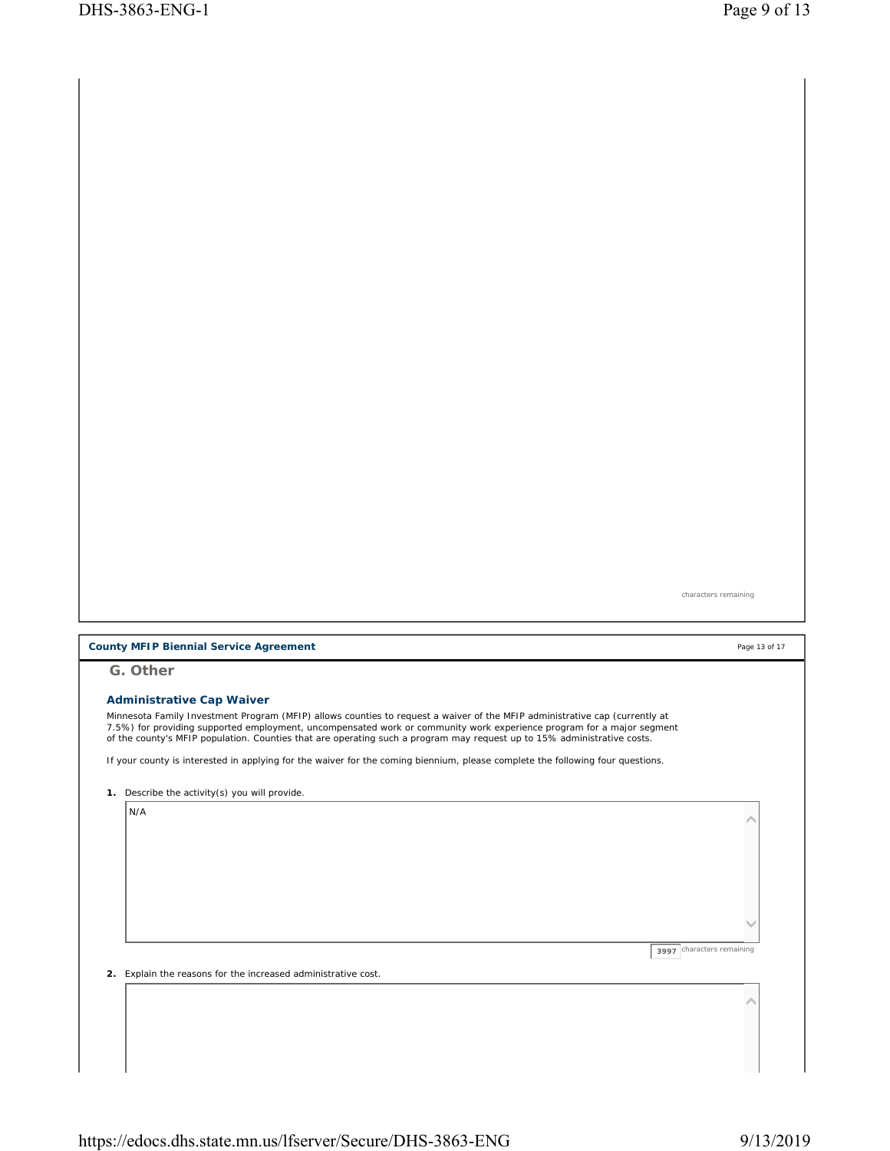characters remaining

 $\widehat{\phantom{a}}$ 

 $\checkmark$ 

 $\widehat{\phantom{a}}$ 

## **County MFIP Biennial Service Agreement County Agreement** Page 13 of 17

**G. Other**

#### **Administrative Cap Waiver**

Minnesota Family Investment Program (MFIP) allows counties to request a waiver of the MFIP administrative cap (currently at<br>7.5%) for providing supported employment, uncompensated work or community work experience program of the county's MFIP population. Counties that are operating such a program may request up to 15% administrative costs.

If your county is interested in applying for the waiver for the coming biennium, please complete the following four questions.

**1.** Describe the activity(s) you will provide.

N/A

**3997** characters remaining

**2.** Explain the reasons for the increased administrative cost.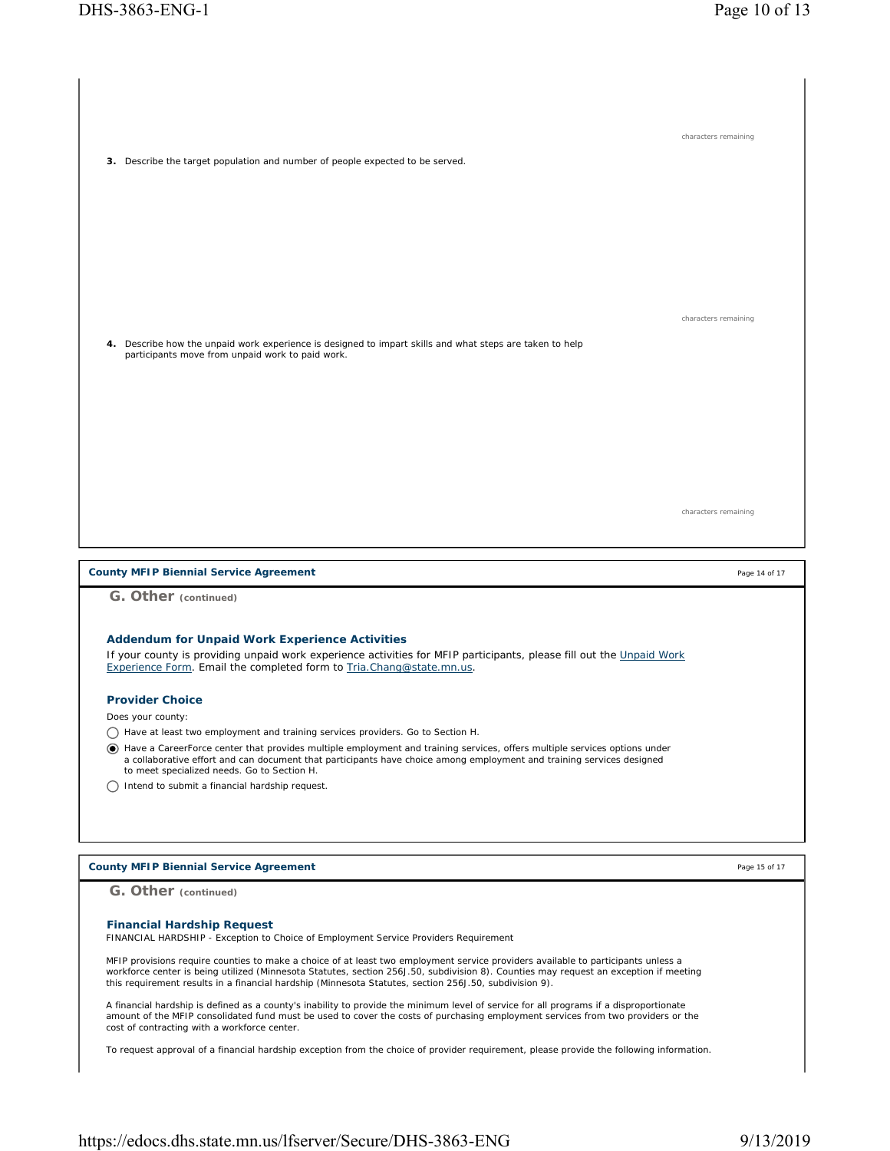| 3. Describe the target population and number of people expected to be served.                                                                                                                                                                                                                                                                                                                                                                                                                                                                                                                                                                                   | characters remaining                  |
|-----------------------------------------------------------------------------------------------------------------------------------------------------------------------------------------------------------------------------------------------------------------------------------------------------------------------------------------------------------------------------------------------------------------------------------------------------------------------------------------------------------------------------------------------------------------------------------------------------------------------------------------------------------------|---------------------------------------|
| 4. Describe how the unpaid work experience is designed to impart skills and what steps are taken to help<br>participants move from unpaid work to paid work.                                                                                                                                                                                                                                                                                                                                                                                                                                                                                                    | characters remaining                  |
| <b>County MFIP Biennial Service Agreement</b>                                                                                                                                                                                                                                                                                                                                                                                                                                                                                                                                                                                                                   | characters remaining<br>Page 14 of 17 |
| G. Other (continued)<br>Addendum for Unpaid Work Experience Activities<br>If your county is providing unpaid work experience activities for MFIP participants, please fill out the Unpaid Work<br>Experience Form. Email the completed form to Tria.Chang@state.mn.us.<br><b>Provider Choice</b><br>Does your county:<br>Have at least two employment and training services providers. Go to Section H.<br>A Have a CareerForce center that provides multiple employment and training services, offers multiple services options under<br>a collaborative effort and can document that participants have choice among employment and training services designed |                                       |
| to meet specialized needs. Go to Section H.<br>Intend to submit a financial hardship request.<br><b>County MFIP Biennial Service Agreement</b><br>G. Other (continued)                                                                                                                                                                                                                                                                                                                                                                                                                                                                                          | Page 15 of 17                         |
| <b>Financial Hardship Request</b><br>FINANCIAL HARDSHIP - Exception to Choice of Employment Service Providers Requirement<br>MFIP provisions require counties to make a choice of at least two employment service providers available to participants unless a<br>workforce center is being utilized (Minnesota Statutes, section 256J.50, subdivision 8). Counties may request an exception if meeting<br>this requirement results in a financial hardship (Minnesota Statutes, section 256J.50, subdivision 9).                                                                                                                                               |                                       |

A financial hardship is defined as a county's inability to provide the minimum level of service for all programs if a disproportionate amount of the MFIP consolidated fund must be used to cover the costs of purchasing employment services from two providers or the cost of contracting with a workforce center.

To request approval of a financial hardship exception from the choice of provider requirement, please provide the following information.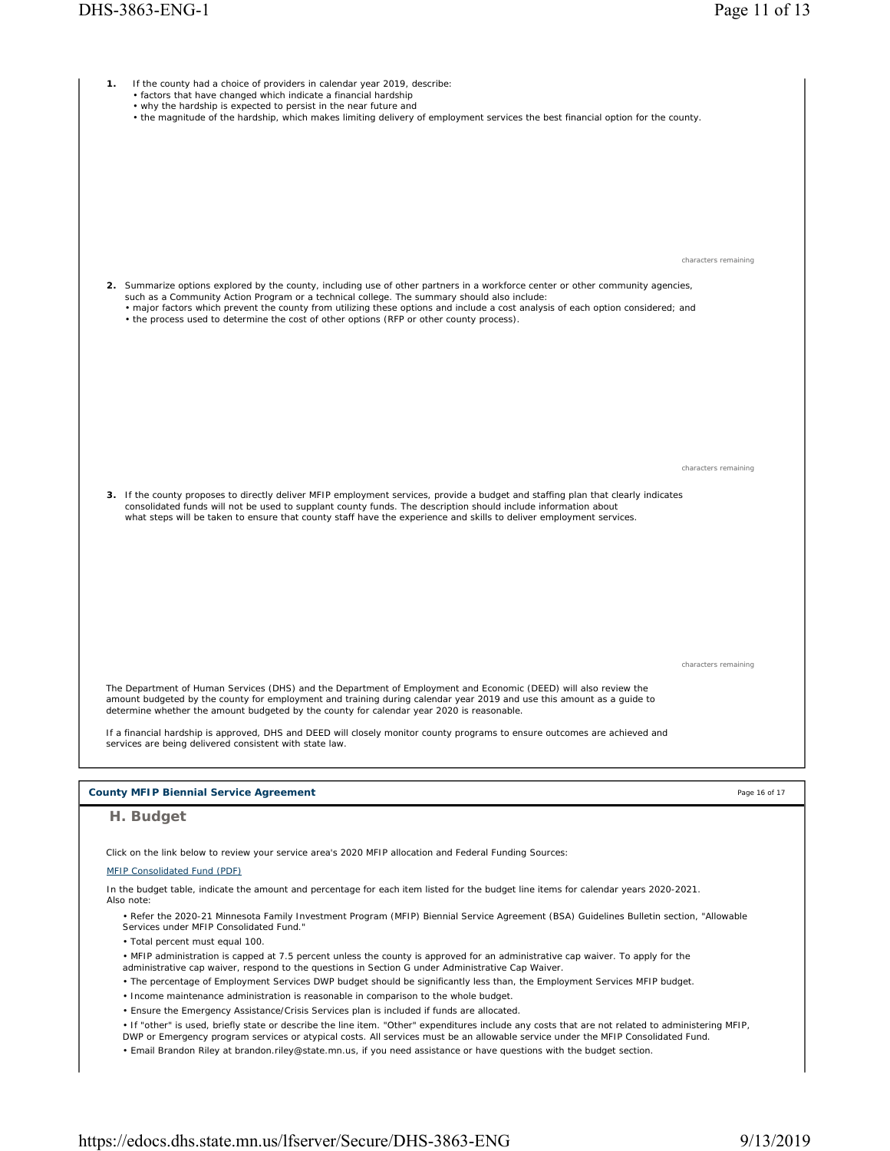| 1. | If the county had a choice of providers in calendar year 2019, describe:<br>· factors that have changed which indicate a financial hardship<br>• why the hardship is expected to persist in the near future and<br>• the magnitude of the hardship, which makes limiting delivery of employment services the best financial option for the county.                                                                                                                                                                                                                                                                                                                                                                                                                                                                                                                                                                                                                                                                                                                                                                                                                                                                                                                                                                                                        |                      |
|----|-----------------------------------------------------------------------------------------------------------------------------------------------------------------------------------------------------------------------------------------------------------------------------------------------------------------------------------------------------------------------------------------------------------------------------------------------------------------------------------------------------------------------------------------------------------------------------------------------------------------------------------------------------------------------------------------------------------------------------------------------------------------------------------------------------------------------------------------------------------------------------------------------------------------------------------------------------------------------------------------------------------------------------------------------------------------------------------------------------------------------------------------------------------------------------------------------------------------------------------------------------------------------------------------------------------------------------------------------------------|----------------------|
|    | 2. Summarize options explored by the county, including use of other partners in a workforce center or other community agencies,<br>such as a Community Action Program or a technical college. The summary should also include:<br>• major factors which prevent the county from utilizing these options and include a cost analysis of each option considered; and<br>• the process used to determine the cost of other options (RFP or other county process).                                                                                                                                                                                                                                                                                                                                                                                                                                                                                                                                                                                                                                                                                                                                                                                                                                                                                            | characters remaining |
|    | 3. If the county proposes to directly deliver MFIP employment services, provide a budget and staffing plan that clearly indicates<br>consolidated funds will not be used to supplant county funds. The description should include information about<br>what steps will be taken to ensure that county staff have the experience and skills to deliver employment services.                                                                                                                                                                                                                                                                                                                                                                                                                                                                                                                                                                                                                                                                                                                                                                                                                                                                                                                                                                                | characters remaining |
|    | The Department of Human Services (DHS) and the Department of Employment and Economic (DEED) will also review the<br>amount budgeted by the county for employment and training during calendar year 2019 and use this amount as a guide to<br>determine whether the amount budgeted by the county for calendar year 2020 is reasonable.<br>If a financial hardship is approved, DHS and DEED will closely monitor county programs to ensure outcomes are achieved and<br>services are being delivered consistent with state law.                                                                                                                                                                                                                                                                                                                                                                                                                                                                                                                                                                                                                                                                                                                                                                                                                           | characters remaining |
|    |                                                                                                                                                                                                                                                                                                                                                                                                                                                                                                                                                                                                                                                                                                                                                                                                                                                                                                                                                                                                                                                                                                                                                                                                                                                                                                                                                           |                      |
|    | <b>County MFIP Biennial Service Agreement</b>                                                                                                                                                                                                                                                                                                                                                                                                                                                                                                                                                                                                                                                                                                                                                                                                                                                                                                                                                                                                                                                                                                                                                                                                                                                                                                             | Page 16 of 17        |
|    | H. Budget                                                                                                                                                                                                                                                                                                                                                                                                                                                                                                                                                                                                                                                                                                                                                                                                                                                                                                                                                                                                                                                                                                                                                                                                                                                                                                                                                 |                      |
|    | Click on the link below to review your service area's 2020 MFIP allocation and Federal Funding Sources:<br><b>MFIP Consolidated Fund (PDF)</b>                                                                                                                                                                                                                                                                                                                                                                                                                                                                                                                                                                                                                                                                                                                                                                                                                                                                                                                                                                                                                                                                                                                                                                                                            |                      |
|    | In the budget table, indicate the amount and percentage for each item listed for the budget line items for calendar years 2020-2021.<br>Also note:<br>• Refer the 2020-21 Minnesota Family Investment Program (MFIP) Biennial Service Agreement (BSA) Guidelines Bulletin section, "Allowable<br>Services under MFIP Consolidated Fund."<br>• Total percent must equal 100.<br>• MFIP administration is capped at 7.5 percent unless the county is approved for an administrative cap waiver. To apply for the<br>administrative cap waiver, respond to the questions in Section G under Administrative Cap Waiver.<br>• The percentage of Employment Services DWP budget should be significantly less than, the Employment Services MFIP budget.<br>• Income maintenance administration is reasonable in comparison to the whole budget.<br>. Ensure the Emergency Assistance/Crisis Services plan is included if funds are allocated.<br>. If "other" is used, briefly state or describe the line item. "Other" expenditures include any costs that are not related to administering MFIP,<br>DWP or Emergency program services or atypical costs. All services must be an allowable service under the MFIP Consolidated Fund.<br>• Email Brandon Riley at brandon.riley@state.mn.us, if you need assistance or have questions with the budget section. |                      |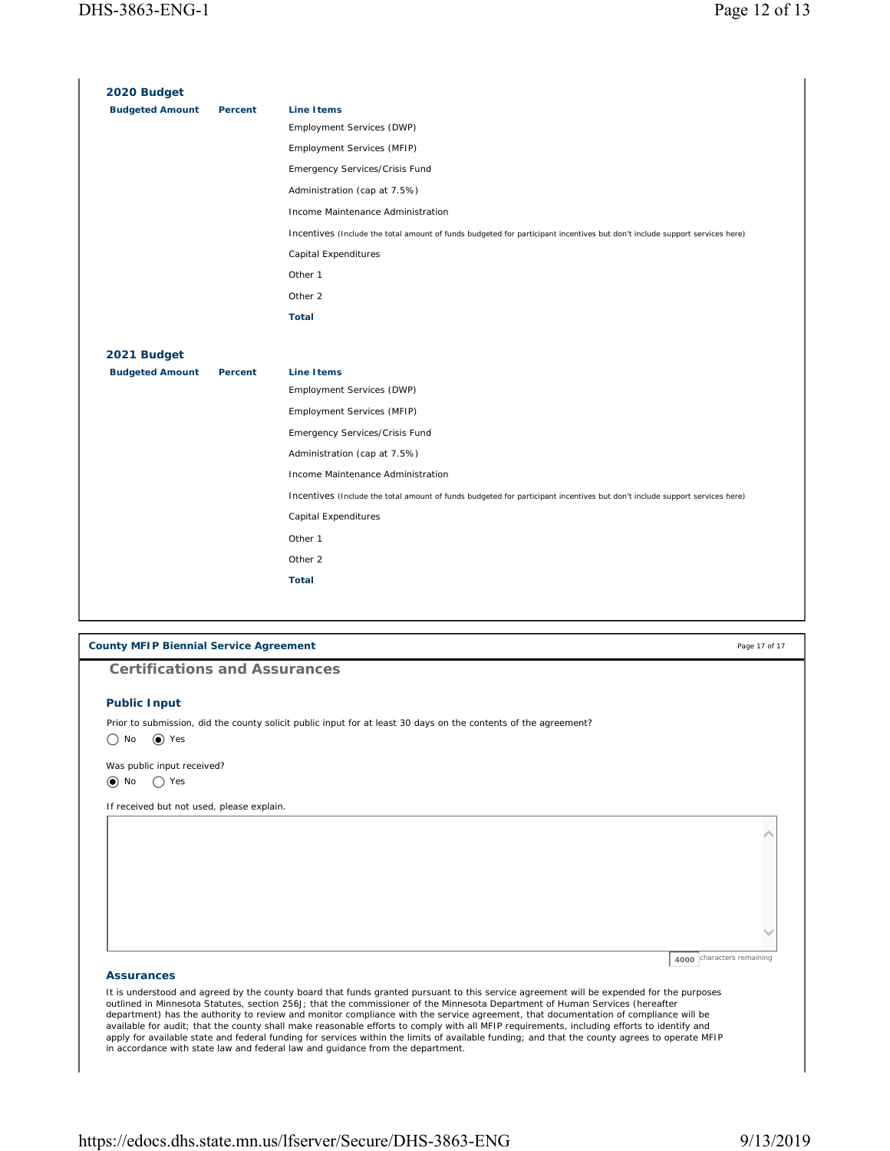# DHS-3863-ENG-1

| Page 12 of 13 |  |  |
|---------------|--|--|
|               |  |  |

| 2020 Budget            |         |                                                                                                                            |
|------------------------|---------|----------------------------------------------------------------------------------------------------------------------------|
| <b>Budgeted Amount</b> | Percent | Line I tems                                                                                                                |
|                        |         | Employment Services (DWP)                                                                                                  |
|                        |         | Employment Services (MFIP)                                                                                                 |
|                        |         | Emergency Services/Crisis Fund                                                                                             |
|                        |         | Administration (cap at 7.5%)                                                                                               |
|                        |         | Income Maintenance Administration                                                                                          |
|                        |         | Incentives (Include the total amount of funds budgeted for participant incentives but don't include support services here) |
|                        |         | Capital Expenditures                                                                                                       |
|                        |         | Other 1                                                                                                                    |
|                        |         | Other 2                                                                                                                    |
|                        |         | <b>Total</b>                                                                                                               |
|                        |         |                                                                                                                            |
| 2021 Budget            |         |                                                                                                                            |
| <b>Budgeted Amount</b> | Percent | Line I tems                                                                                                                |
|                        |         | Employment Services (DWP)                                                                                                  |
|                        |         |                                                                                                                            |
|                        |         | Employment Services (MFIP)                                                                                                 |
|                        |         | Emergency Services/Crisis Fund                                                                                             |
|                        |         | Administration (cap at 7.5%)                                                                                               |
|                        |         | Income Maintenance Administration                                                                                          |
|                        |         | Incentives (Include the total amount of funds budgeted for participant incentives but don't include support services here) |
|                        |         | Capital Expenditures                                                                                                       |
|                        |         | Other 1                                                                                                                    |
|                        |         | Other 2                                                                                                                    |
|                        |         | <b>Total</b>                                                                                                               |
|                        |         |                                                                                                                            |

## **County MFIP Biennial Service Agreement**

**Certifications and Assurances**

## **Public Input**

Prior to submission, did the county solicit public input for at least 30 days on the contents of the agreement? No Yes

Was public input received?

No Yes

If received but not used, please explain.

**4000** characters remaining

Page 17 of 17

 $\widehat{\phantom{a}}$ 

 $\checkmark$ 

#### **Assurances**

It is understood and agreed by the county board that funds granted pursuant to this service agreement will be expended for the purposes outlined in Minnesota Statutes, section 256J; that the commissioner of the Minnesota Department of Human Services (hereafter department) has the authority to review and monitor compliance with the service agreement, that documentation of compliance will be<br>available for audit; that the county shall make reasonable efforts to comply with all MFIP apply for available state and federal funding for services within the limits of available funding; and that the county agrees to operate MFIP in accordance with state law and federal law and guidance from the department.